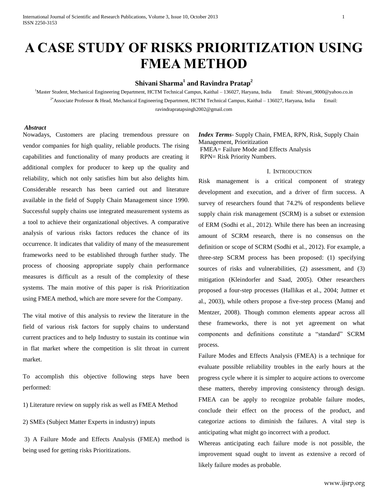# **A CASE STUDY OF RISKS PRIORITIZATION USING FMEA METHOD**

## **Shivani Sharma<sup>1</sup> and Ravindra Pratap<sup>2</sup>**

<sup>1</sup>Master Student, Mechanical Engineering Department, HCTM Technical Campus, Kaithal – 136027, Haryana, India Email: Shivani\_9000@yahoo.co.in <sup>2\*</sup>Associate Professor & Head, Mechanical Engineering Department, HCTM Technical Campus, Kaithal – 136027, Haryana, India Email: [ravindrapratapsingh2002@gmail.com](mailto:ravindrapratapsingh2002@gmail.com)

#### *Abstract*

Nowadays, Customers are placing tremendous pressure on vendor companies for high quality, reliable products. The rising capabilities and functionality of many products are creating it additional complex for producer to keep up the quality and reliability, which not only satisfies him but also delights him. Considerable research has been carried out and literature available in the field of Supply Chain Management since 1990. Successful supply chains use integrated measurement systems as a tool to achieve their organizational objectives. A comparative analysis of various risks factors reduces the chance of its occurrence. It indicates that validity of many of the measurement frameworks need to be established through further study. The process of choosing appropriate supply chain performance measures is difficult as a result of the complexity of these systems. The main motive of this paper is risk Prioritization using FMEA method, which are more severe for the Company.

The vital motive of this analysis to review the literature in the field of various risk factors for supply chains to understand current practices and to help Industry to sustain its continue win in flat market where the competition is slit throat in current market.

To accomplish this objective following steps have been performed:

1) Literature review on supply risk as well as FMEA Method

2) SMEs (Subject Matter Experts in industry) inputs

3) A Failure Mode and Effects Analysis (FMEA) method is being used for getting risks Prioritizations.

*Index Terms*- Supply Chain, FMEA, RPN, Risk, Supply Chain Management, Prioritization FMEA= Failure Mode and Effects Analysis RPN= Risk Priority Numbers.

#### I. INTRODUCTION

Risk management is a critical component of strategy development and execution, and a driver of firm success. A survey of researchers found that 74.2% of respondents believe supply chain risk management (SCRM) is a subset or extension of ERM (Sodhi et al., 2012). While there has been an increasing amount of SCRM research, there is no consensus on the definition or scope of SCRM (Sodhi et al., 2012). For example, a three-step SCRM process has been proposed: (1) specifying sources of risks and vulnerabilities, (2) assessment, and (3) mitigation (Kleindorfer and Saad, 2005). Other researchers proposed a four-step processes (Hallikas et al., 2004; Juttner et al., 2003), while others propose a five-step process (Manuj and Mentzer, 2008). Though common elements appear across all these frameworks, there is not yet agreement on what components and definitions constitute a "standard" SCRM process.

Failure Modes and Effects Analysis (FMEA) is a technique for evaluate possible reliability troubles in the early hours at the progress cycle where it is simpler to acquire actions to overcome these matters, thereby improving consistency through design. FMEA can be apply to recognize probable failure modes, conclude their effect on the process of the product, and categorize actions to diminish the failures. A vital step is anticipating what might go incorrect with a product.

Whereas anticipating each failure mode is not possible, the improvement squad ought to invent as extensive a record of likely failure modes as probable.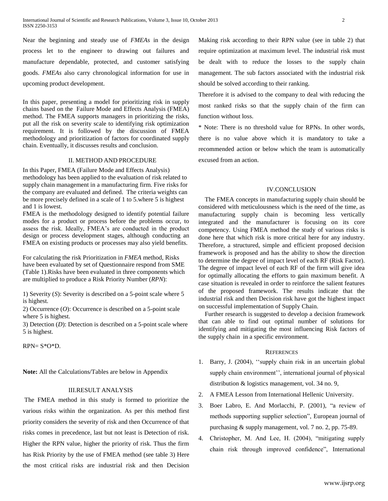Near the beginning and steady use of *FMEAs* in the design process let to the engineer to drawing out failures and manufacture dependable, protected, and customer satisfying goods. *FMEAs* also carry chronological information for use in upcoming product development.

In this paper, presenting a model for prioritizing risk in supply chains based on the Failure Mode and Effects Analysis (FMEA) method. The FMEA supports managers in prioritizing the risks, put all the risk on severity scale to identifying risk optimization requirement. It is followed by the discussion of FMEA methodology and prioritization of factors for coordinated supply chain. Eventually, it discusses results and conclusion.

### II. METHOD AND PROCEDURE

In this Paper, FMEA (Failure Mode and Effects Analysis) methodology has been applied to the evaluation of risk related to supply chain management in a manufacturing firm. Five risks for the company are evaluated and defined. The criteria weights can be more precisely defined in a scale of 1 to 5.where 5 is highest and 1 is lowest.

FMEA is the methodology designed to identify potential failure modes for a product or process before the problems occur, to assess the risk. Ideally, FMEA's are conducted in the product design or process development stages, although conducting an FMEA on existing products or processes may also yield benefits.

For calculating the risk Prioritization in *FMEA* method, Risks have been evaluated by set of Questionnaire respond from SME (Table 1).Risks have been evaluated in three components which are multiplied to produce a Risk Priority Number (*RPN*):

1) Severity (*S*): Severity is described on a 5-point scale where 5 is highest.

2) Occurrence (*O*): Occurrence is described on a 5-point scale where 5 is highest.

3) Detection (*D*): Detection is described on a 5-point scale where 5 is highest.

 $RPN = S*O*D$ .

**Note:** All the Calculations/Tables are below in Appendix

## III.RESULT ANALYSIS

The FMEA method in this study is formed to prioritize the various risks within the organization. As per this method first priority considers the severity of risk and then Occurrence of that risks comes in precedence, last but not least is Detection of risk. Higher the RPN value, higher the priority of risk. Thus the firm has Risk Priority by the use of FMEA method (see table 3) Here the most critical risks are industrial risk and then Decision Making risk according to their RPN value (see in table 2) that require optimization at maximum level. The industrial risk must be dealt with to reduce the losses to the supply chain management. The sub factors associated with the industrial risk should be solved according to their ranking.

Therefore it is advised to the company to deal with reducing the most ranked risks so that the supply chain of the firm can function without loss.

\* Note: There is no threshold value for RPNs. In other words, there is no value above which it is mandatory to take a recommended action or below which the team is automatically excused from an action.

#### IV.CONCLUSION

The FMEA concepts in manufacturing supply chain should be considered with meticulousness which is the need of the time, as manufacturing supply chain is becoming less vertically integrated and the manufacturer is focusing on its core competency. Using FMEA method the study of various risks is done here that which risk is more critical here for any industry. Therefore, a structured, simple and efficient proposed decision framework is proposed and has the ability to show the direction to determine the degree of impact level of each RF (Risk Factor). The degree of impact level of each RF of the firm will give idea for optimally allocating the efforts to gain maximum benefit. A case situation is revealed in order to reinforce the salient features of the proposed framework. The results indicate that the industrial risk and then Decision risk have got the highest impact on successful implementation of Supply Chain.

Further research is suggested to develop a decision framework that can able to find out optimal number of solutions for identifying and mitigating the most influencing Risk factors of the supply chain in a specific environment.

#### **REFERENCES**

- 1. Barry, J. (2004), ''supply chain risk in an uncertain global supply chain environment'', international journal of physical distribution & logistics management, vol. 34 no. 9,
- 2. A FMEA Lesson from International Hellenic University.
- 3. Boer Labro, E. And Morlacchi, P. (2001), "a review of methods supporting supplier selection", European journal of purchasing & supply management, vol. 7 no. 2, pp. 75-89.
- 4. Christopher, M. And Lee, H. (2004), "mitigating supply chain risk through improved confidence", International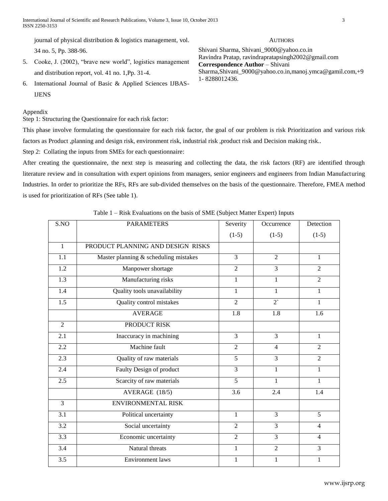International Journal of Scientific and Research Publications, Volume 3, Issue 10, October 2013 3 ISSN 2250-3153

journal of physical distribution & logistics management, vol. 34 no. 5, Pp. 388-96.

5. Cooke, J. (2002), "brave new world", logistics management and distribution report, vol. 41 no. 1,Pp. 31-4.

6. International Journal of Basic & Applied Sciences IJBAS-IJENS

#### Appendix

Step 1: Structuring the Questionnaire for each risk factor:

This phase involve formulating the questionnaire for each risk factor, the goal of our problem is risk Prioritization and various risk factors as Product ,planning and design risk, environment risk, industrial risk ,product risk and Decision making risk..

Step 2: Collating the inputs from SMEs for each questionnaire:

After creating the questionnaire, the next step is measuring and collecting the data, the risk factors (RF) are identified through literature review and in consultation with expert opinions from managers, senior engineers and engineers from Indian Manufacturing Industries. In order to prioritize the RFs, RFs are sub-divided themselves on the basis of the questionnaire. Therefore, FMEA method is used for prioritization of RFs (See table 1).

## Table 1 – Risk Evaluations on the basis of SME (Subject Matter Expert) Inputs

| S.NO             | <b>PARAMETERS</b>                     | Severity       | Occurrence       | Detection        |
|------------------|---------------------------------------|----------------|------------------|------------------|
|                  |                                       | $(1-5)$        | $(1-5)$          | $(1-5)$          |
| $\overline{1}$   | PRODUCT PLANNING AND DESIGN RISKS     |                |                  |                  |
| 1.1              | Master planning & scheduling mistakes | $\overline{3}$ | $\overline{2}$   | 1                |
| 1.2              | Manpower shortage                     | $\overline{2}$ | 3                | $\overline{2}$   |
| $\overline{1.3}$ | Manufacturing risks                   | $\mathbf{1}$   | $\mathbf{1}$     | $\overline{2}$   |
| 1.4              | Quality tools unavailability          | $\mathbf{1}$   | 1                | $\mathbf{1}$     |
| 1.5              | <b>Quality control mistakes</b>       | $\overline{2}$ | $2^{\circ}$      | 1                |
|                  | <b>AVERAGE</b>                        | 1.8            | $\overline{1.8}$ | $\overline{1.6}$ |
| $\overline{2}$   | PRODUCT RISK                          |                |                  |                  |
| 2.1              | Inaccuracy in machining               | 3              | $\overline{3}$   | 1                |
| 2.2              | Machine fault                         | $\overline{2}$ | $\overline{4}$   | $\overline{2}$   |
| 2.3              | Quality of raw materials              | 5              | $\overline{3}$   | $\overline{2}$   |
| 2.4              | Faulty Design of product              | 3              | 1                | $\mathbf{1}$     |
| 2.5              | Scarcity of raw materials             | 5              | 1                | 1                |
|                  | AVERAGE (18/5)                        | 3.6            | 2.4              | 1.4              |
| 3                | <b>ENVIRONMENTAL RISK</b>             |                |                  |                  |
| $\overline{3.1}$ | Political uncertainty                 | $\mathbf{1}$   | $\overline{3}$   | $\overline{5}$   |
| $\overline{3.2}$ | Social uncertainty                    | $\overline{2}$ | $\overline{3}$   | $\overline{4}$   |
| $\overline{3.3}$ | Economic uncertainty                  | $\overline{2}$ | $\overline{3}$   | $\overline{4}$   |
| $\overline{3.4}$ | Natural threats                       | $\mathbf{1}$   | $\overline{2}$   | $\overline{3}$   |
| $\overline{3.5}$ | <b>Environment</b> laws               | 1              | 1                | $\mathbf{1}$     |

#### **AUTHORS**

Shivani Sharma, Shivani\_9000@yahoo.co.in Ravindra Pratap, ravindrapratapsingh2002@gmail.com **Correspondence Author** – Shivani Sharma,Shivani\_9000@yahoo.co.in,manoj.ymca@gamil.com,+9 1- 8288012436.